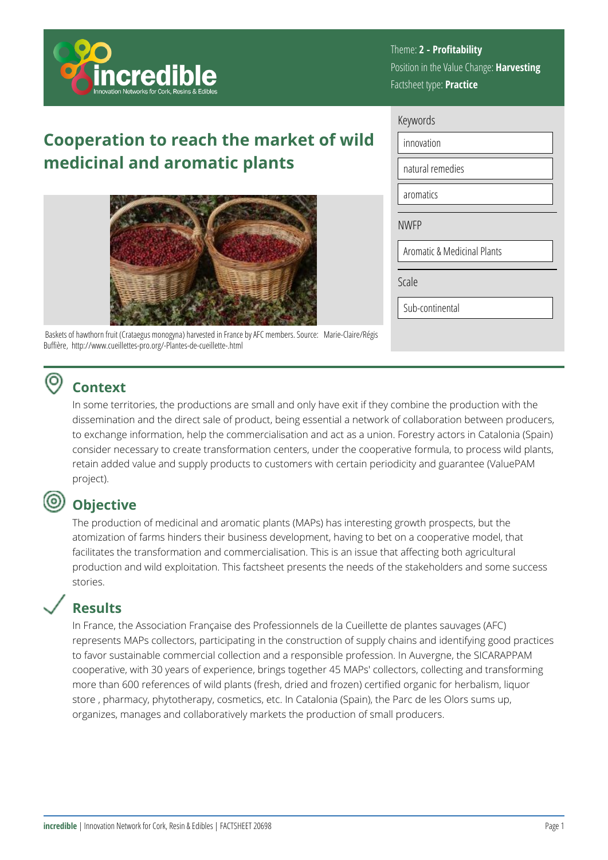

#### Theme: **2 - Profitability**  Position in the Value Change: **Harvesting**  Factsheet type: **Practice**

# **Cooperation to reach the market of wild medicinal and aromatic plants**



 Baskets of hawthorn fruit (Crataegus monogyna) harvested in France by AFC members. Source: Marie-Claire/Régis Buffière, http://www.cueillettes-pro.org/-Plantes-de-cueillette-.html

#### (O) **Context**

In some territories, the productions are small and only have exit if they combine the production with the dissemination and the direct sale of product, being essential a network of collaboration between producers, to exchange information, help the commercialisation and act as a union. Forestry actors in Catalonia (Spain) consider necessary to create transformation centers, under the cooperative formula, to process wild plants, retain added value and supply products to customers with certain periodicity and guarantee (ValuePAM project).

# **Objective**

The production of medicinal and aromatic plants (MAPs) has interesting growth prospects, but the atomization of farms hinders their business development, having to bet on a cooperative model, that facilitates the transformation and commercialisation. This is an issue that affecting both agricultural production and wild exploitation. This factsheet presents the needs of the stakeholders and some success stories.

### **Results**

In France, the Association Française des Professionnels de la Cueillette de plantes sauvages (AFC) represents MAPs collectors, participating in the construction of supply chains and identifying good practices to favor sustainable commercial collection and a responsible profession. In Auvergne, the SICARAPPAM cooperative, with 30 years of experience, brings together 45 MAPs' collectors, collecting and transforming more than 600 references of wild plants (fresh, dried and frozen) certified organic for herbalism, liquor store , pharmacy, phytotherapy, cosmetics, etc. In Catalonia (Spain), the Parc de les Olors sums up, organizes, manages and collaboratively markets the production of small producers.

| Keywords                               |                  |  |  |
|----------------------------------------|------------------|--|--|
|                                        | innovation       |  |  |
|                                        | natural remedies |  |  |
|                                        | aromatics        |  |  |
| <b>NWFP</b>                            |                  |  |  |
| <b>Aromatic &amp; Medicinal Plants</b> |                  |  |  |
| Scale                                  |                  |  |  |
|                                        | Sub-continental  |  |  |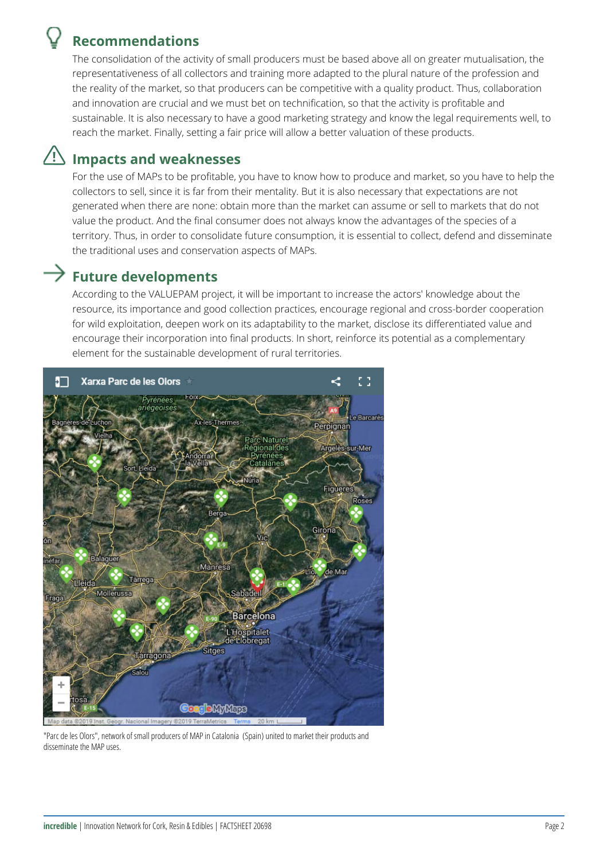### **Recommendations**

The consolidation of the activity of small producers must be based above all on greater mutualisation, the representativeness of all collectors and training more adapted to the plural nature of the profession and the reality of the market, so that producers can be competitive with a quality product. Thus, collaboration and innovation are crucial and we must bet on technification, so that the activity is profitable and sustainable. It is also necessary to have a good marketing strategy and know the legal requirements well, to reach the market. Finally, setting a fair price will allow a better valuation of these products.

### **Impacts and weaknesses**

For the use of MAPs to be profitable, you have to know how to produce and market, so you have to help the collectors to sell, since it is far from their mentality. But it is also necessary that expectations are not generated when there are none: obtain more than the market can assume or sell to markets that do not value the product. And the final consumer does not always know the advantages of the species of a territory. Thus, in order to consolidate future consumption, it is essential to collect, defend and disseminate the traditional uses and conservation aspects of MAPs.

## $\rightarrow$  Future developments

According to the VALUEPAM project, it will be important to increase the actors' knowledge about the resource, its importance and good collection practices, encourage regional and cross-border cooperation for wild exploitation, deepen work on its adaptability to the market, disclose its differentiated value and encourage their incorporation into final products. In short, reinforce its potential as a complementary element for the sustainable development of rural territories.



"Parc de les Olors", network of small producers of MAP in Catalonia (Spain) united to market their products and disseminate the MAP uses.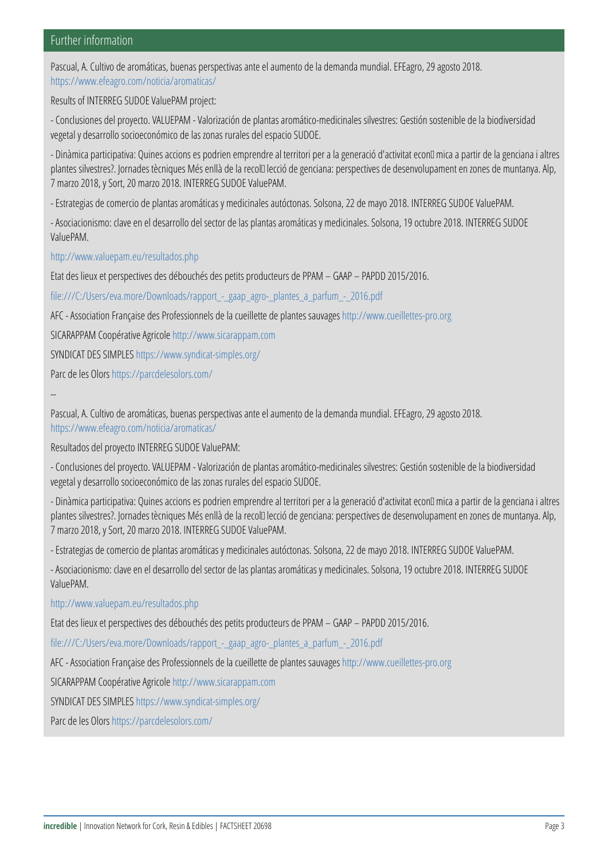#### Further information

Pascual, A. Cultivo de aromáticas, buenas perspectivas ante el aume [https://www.efeagro.](https://www.efeagro.com/noticia/aromaticas/)com/noticia/aromaticas/

Results of INTERREG SUDOE ValuePAM project:

- Conclusiones del proyecto. VALUEPAM - Valorización de plantas aro vegetal y desarrollo socioeconómico de las zonas rurales del espacio

- Dinàmica participativa: Quines accions es podrien emprendre al ter plantes silvestres?. Jornades tècniques Més enllà de la recol·lecció 7 marzo 2018, y Sort, 20 marzo 2018. INTERREG SUDOE ValuePAM.

- Estrategias de comercio de plantas aromáticas y medicinales autóci

- Asociacionismo: clave en el desarrollo del sector de las plantas aro ValuePAM.

[http://www.valuepa](http://www.valuepam.eu/resultados.php)m.eu/resultados.php

Etat des lieux et perspectives des débouchés des petits producteurs

[file:///C:/Users/eva.more/Downloads/rapp](https:///C:/Users/eva.more/Downloads/rapport_-_gaap_agro-_plantes_a_parfum_-_2016.pdf)ort\_-\_gaap\_agro-\_plantes\_a

AFC - Association Française des Prohietsps://oim/nowew.scullette/cuesi-libetote.pde p

SICARAPPAM Coottpé / aww.iwww.sigtraicapologiam.com

SYNDICAT DES SIMPLES ndicat-simples.org/

Parc de hitels sOlors redelesolors.com/

--

Pascual, A. Cultivo de aromáticas, buenas perspectivas ante el aume [https://www.efeagro.](https://www.efeagro.com/noticia/aromaticas/)com/noticia/aromaticas/

Resultados del proyecto INTERREG SUDOE ValuePAM:

- Conclusiones del proyecto. VALUEPAM - Valorización de plantas aro vegetal y desarrollo socioeconómico de las zonas rurales del espacio

- Dinàmica participativa: Quines accions es podrien emprendre al ter plantes silvestres?. Jornades tècniques Més enllà de la recol·lecció 7 marzo 2018, y Sort, 20 marzo 2018. INTERREG SUDOE ValuePAM.

- Estrategias de comercio de plantas aromáticas y medicinales autóci

- Asociacionismo: clave en el desarrollo del sector de las plantas aro ValuePAM.

[http://www.valuepa](http://www.valuepam.eu/resultados.php)m.eu/resultados.php

Etat des lieux et perspectives des débouchés des petits producteurs

[file:///C:/Users/eva.more/Downloads/rapp](https:///C:/Users/eva.more/Downloads/rapport_-_gaap_agro-_plantes_a_parfum_-_2016.pdf)ort\_-\_gaap\_agro-\_plantes\_a AFC - Association Française des Proffetsps:i/of normeals coleillet true silple otte roge p SICARAPPAM C b otppé / avt ive a agrica popman.com SYNDICAT DESS SIMPLES ndicat-simples.org/

Parc de hitels sOlors redelesolors.com/